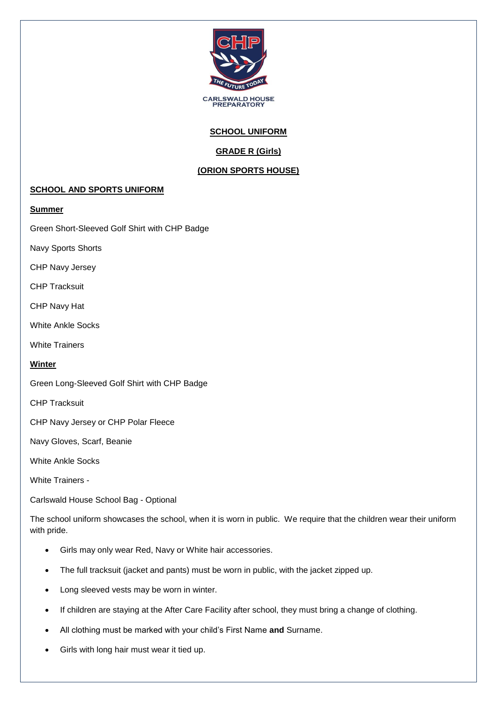

### **SCHOOL UNIFORM**

# **GRADE R (Girls)**

## **(ORION SPORTS HOUSE)**

#### **SCHOOL AND SPORTS UNIFORM**

#### **Summer**

Green Short-Sleeved Golf Shirt with CHP Badge

Navy Sports Shorts

CHP Navy Jersey

CHP Tracksuit

CHP Navy Hat

White Ankle Socks

White Trainers

#### **Winter**

Green Long-Sleeved Golf Shirt with CHP Badge

CHP Tracksuit

CHP Navy Jersey or CHP Polar Fleece

Navy Gloves, Scarf, Beanie

White Ankle Socks

White Trainers -

Carlswald House School Bag - Optional

The school uniform showcases the school, when it is worn in public. We require that the children wear their uniform with pride.

- Girls may only wear Red, Navy or White hair accessories.
- The full tracksuit (jacket and pants) must be worn in public, with the jacket zipped up.
- Long sleeved vests may be worn in winter.
- If children are staying at the After Care Facility after school, they must bring a change of clothing.
- All clothing must be marked with your child's First Name **and** Surname.
- Girls with long hair must wear it tied up.